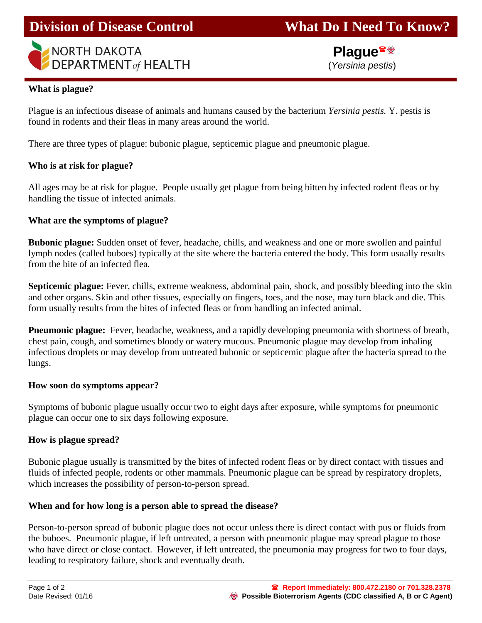

**NORTH DAKOTA DEPARTMENT** of HEALTH

 **Plague** (*Yersinia pestis*)

#### **What is plague?**

Plague is an infectious disease of animals and humans caused by the bacterium *Yersinia pestis.* Y. pestis is found in rodents and their fleas in many areas around the world.

There are three types of plague: bubonic plague, septicemic plague and pneumonic plague.

## **Who is at risk for plague?**

All ages may be at risk for plague. People usually get plague from being bitten by infected rodent fleas or by handling the tissue of infected animals.

#### **What are the symptoms of plague?**

**Bubonic plague:** Sudden onset of fever, headache, chills, and weakness and one or more swollen and painful lymph nodes (called buboes) typically at the site where the bacteria entered the body. This form usually results from the bite of an infected flea.

**Septicemic plague:** Fever, chills, extreme weakness, abdominal pain, shock, and possibly bleeding into the skin and other organs. Skin and other tissues, especially on fingers, toes, and the nose, may turn black and die. This form usually results from the bites of infected fleas or from handling an infected animal.

**Pneumonic plague:** Fever, headache, weakness, and a rapidly developing pneumonia with shortness of breath, chest pain, cough, and sometimes bloody or watery mucous. Pneumonic plague may develop from inhaling infectious droplets or may develop from untreated bubonic or septicemic plague after the bacteria spread to the lungs.

#### **How soon do symptoms appear?**

Symptoms of bubonic plague usually occur two to eight days after exposure, while symptoms for pneumonic plague can occur one to six days following exposure.

## **How is plague spread?**

Bubonic plague usually is transmitted by the bites of infected rodent fleas or by direct contact with tissues and fluids of infected people, rodents or other mammals. Pneumonic plague can be spread by respiratory droplets, which increases the possibility of person-to-person spread.

## **When and for how long is a person able to spread the disease?**

Person-to-person spread of bubonic plague does not occur unless there is direct contact with pus or fluids from the buboes. Pneumonic plague, if left untreated, a person with pneumonic plague may spread plague to those who have direct or close contact. However, if left untreated, the pneumonia may progress for two to four days, leading to respiratory failure, shock and eventually death.